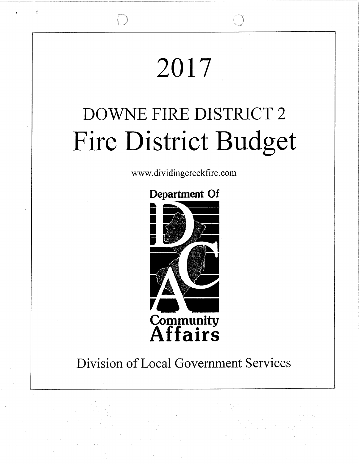# 2017

# DOWNE FIRE DISTRICT 2 Fire District Budget

www.dividingcreekfire.com

## **Department Of**



## Division of Local Government Services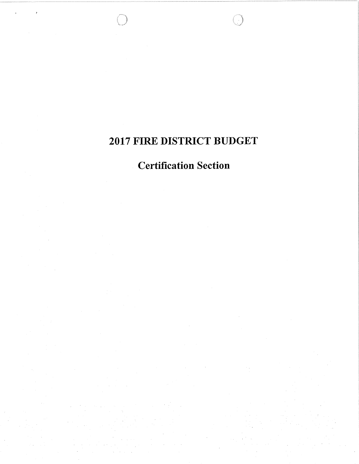## 2017 FIRE DISTRICT BUDGET

## **Certification Section**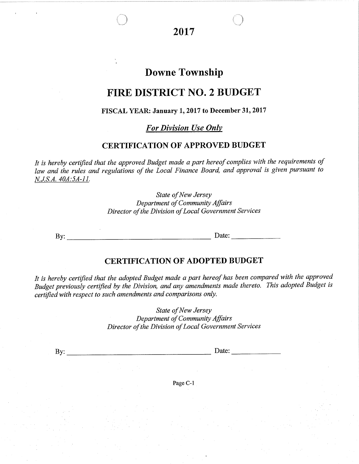20t7

'\_)

## Downe Township

### FIRE DISTRICT NO. 2 BUDGET

#### FISCAL YEAR: January 1, 2017 to December 31, 2017

For Division Use OnIv

#### CERTIFICATION OF APPROVED BUDGET

It is hereby certified that the approved Budget made a part hereof complies with the requirements of law and the rules and regulations of the Local Finance Board, and approval is given pursuant to N.J.S.A. 404:54-I1.

> State of New Jersey Department of Community Affairs Director of the Division of Local Government Services

By: Date:

' .'3

#### CERTIFTCATION OF ADOPTED BUDGET

It is hereby certified that the adopted Budget made a part hereof has been compared with the approved Budget previously certified by the Division, and any amendments made thereto. This adopted Budget is certified with respect to such amendments and comparisons only.

> State of New Jersey Department of Community Affairs Director of the Division of Local Government Services

By: Date: Date:

Page C-l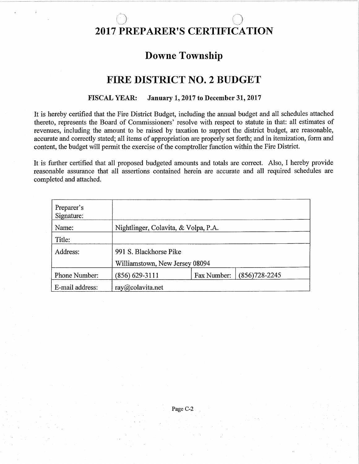# 2017 PREPARER'S CERTIFICATION

 $\cap$  ''  $\cap$  '' $\cap$ 

## Downe Township

## FIRE DISTRICT NO. 2 BUDGET

#### FISCAL YEAR: January 1, 2017 to December 31, 2017

It is hereby certified that the Fire District Budget, including the annual budget and all schedules attached thereto, represents the Board of Commissioners' resolve with respect to statute in that: all estimates of revenues, including the amount to be raised by taxation to support the district budget, are reasonable, accurate and correctly stated; all items of appropriation are properly set forth; and in itemization, form and content, the budget will permit the exercise of the comptroller function within the Fire District.

It is further certified that all proposed budgeted amounts and totals are correct. Also, I hereby provide reasonable assurance that all assertions contained herein are accurate and all required schedules are completed and attached.

| Preparer's<br>Signature: |                                      |             |                   |
|--------------------------|--------------------------------------|-------------|-------------------|
| Name:                    | Nightlinger, Colavita, & Volpa, P.A. |             |                   |
| Title:                   |                                      |             |                   |
| Address:                 | 991 S. Blackhorse Pike               |             |                   |
|                          | Williamstown, New Jersey 08094       |             |                   |
| Phone Number:            | $(856)$ 629-3111                     | Fax Number: | $(856)728 - 2245$ |
| E-mail address:          | $ray(a)$ colavita.net                |             |                   |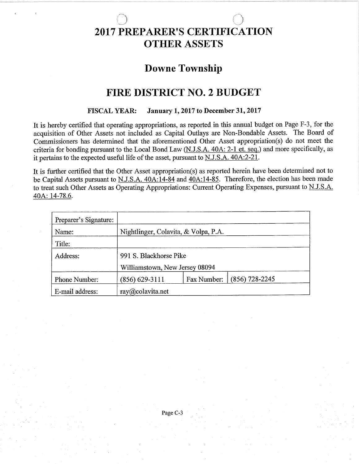#### $\sim$   $\sim$   $\sim$ ' ,.. 2OI7 PREPARBR'S CERTIFICATION **OTHER ASSETS**

## Downe Township

## FIRE DISTRICT NO. 2 BUDGET

#### FISCAL YEAR: January 1,2017 to December3l,20l7

It is hereby certified that operating appropriations, as reported in this annual budget on Page F-3, for the acquisition of Other Assets not included as Capital Outlays are Non-Bondable Assets. The Board of Commissioners has determined that the aforementioned Other Asset appropriation(s) do not meet the criteria for bonding pursuant to the Local Bond Law (N.J.S.A. 40A: 2-1 et. seq.) and more specifically, as it pertains to the expected useful life of the asset, pursuant to N.J.S.A. 404:2-21.

It is further certified that the Other Asset appropriation(s) as reported herein have been determined not to be Capital Assets pursuant to N.J.S.A. 40A:14-84 and  $40A:14-85$ . Therefore, the election has been made to treat such Other Assets as Operating Appropriations: Current Operating Expenses, pursuant to N.J.S.A. 40A: 14-78.6.

| Preparer's Signature: |                                      |             |                  |  |
|-----------------------|--------------------------------------|-------------|------------------|--|
| Name:                 | Nightlinger, Colavita, & Volpa, P.A. |             |                  |  |
| Title:                |                                      |             |                  |  |
| Address:              | 991 S. Blackhorse Pike               |             |                  |  |
|                       | Williamstown, New Jersey 08094       |             |                  |  |
| Phone Number:         | $(856) 629 - 3111$                   | Fax Number: | $(856)$ 728-2245 |  |
| E-mail address:       | $ray(a)$ colavita.net                |             |                  |  |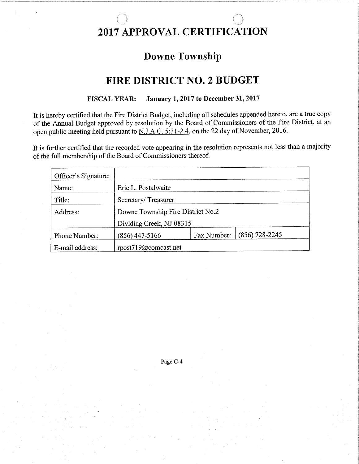# 2017 APPROVAL CERTIFICATION

## **Downe Township**

## **FIRE DISTRICT NO. 2 BUDGET**

#### **January 1, 2017 to December 31, 2017 FISCAL YEAR:**

It is hereby certified that the Fire District Budget, including all schedules appended hereto, are a true copy of the Annual Budget approved by resolution by the Board of Commissioners of the Fire District, at an open public meeting held pursuant to N.J.A.C. 5:31-2.4, on the 22 day of November, 2016.

It is further certified that the recorded vote appearing in the resolution represents not less than a majority of the full membership of the Board of Commissioners thereof.

| Officer's Signature: |                          |                                   |                  |  |
|----------------------|--------------------------|-----------------------------------|------------------|--|
| Name:                | Eric L. Postalwaite      |                                   |                  |  |
| Title:               | Secretary/Treasurer      |                                   |                  |  |
| Address:             |                          | Downe Township Fire District No.2 |                  |  |
|                      | Dividing Creek, NJ 08315 |                                   |                  |  |
| Phone Number:        | $(856)$ 447-5166         | Fax Number:                       | $(856)$ 728-2245 |  |
| E-mail address:      | rpost719@comcast.net     |                                   |                  |  |

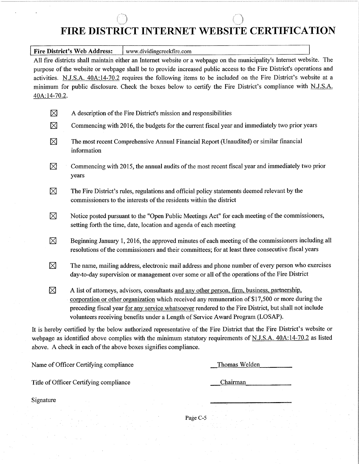### ) ) FIRE DISTRICT INTERNET WEBSITE CERTIFICATION

Fire District's Web Address:  $\vert$  www.dividingcreekfire.com

All fire districts shall maintain either an Internet website or a webpage on the municipality's Internet website. The purpose of the website or webpage shall be to provide increased public access to the Fire District's operations and activities. N.J.S.A. 40A:14-70.2 requires the following items to be included on the Fire District's website at a minimum for public disclosure. Check the boxes below to certify the Fire District's compliance with N.J.S.A. 40A.:14-70.2.

| $\boxtimes$ |  |  |  |  | A description of the Fire District's mission and responsibilities |  |
|-------------|--|--|--|--|-------------------------------------------------------------------|--|
|-------------|--|--|--|--|-------------------------------------------------------------------|--|

- $\boxtimes$  Commencing with 2016, the budgets for the current fiscal year and immediately two prior years
- $\boxtimes$  The most recent Comprehensive Annual Financial Report (Unaudited) or similar financial information
- $\boxtimes$  Commencing with 2015, the annual audits of the most recent fiscal year and immediately two prior years
- $\boxtimes$  The Fire District's rules, regulations and official policy statements deemed relevant by the commissioners to the interests of the residents within the district
- $\boxtimes$  Notice posted pursuant to the "Open Public Meetings Act" for each meeting of the commissioners, setting forth the time, date, location and agenda of each meeting
- $\boxtimes$  Beginning January 1, 2016, the approved minutes of each meeting of the commissioners including all resolutions of the commissioners and their committees; for at least three consecutive fiscal years
- $\boxtimes$  The name, mailing address, electronic mail address and phone number of every person who exercises day-to-day supervision or management over some or all of the operations of the Fire District
- $\boxtimes$  A list of attorneys, advisors, consultants and any other person, firm, business, partnership. corporation or other organization which received any remuneration of \$17,500 or more during the preceding fiscal year for any service whatsoever rendered to the Fire District, but shall not include volunteers receiving benefits under a Length of Service Award Program (LOSAP).

It is hereby certified by the below authorized representative of the Fire District that the Fire District's website or webpage as identified above complies with the minimum statutory requirements of N.J.S.A. 40A:14-70.2 as listed above. A check in each of the above boxes signifies compliance.

Name of Officer Certifying compliance

Thomas Welden

Title of Officer Certifying compliance

Chairman

Signature

Page C-5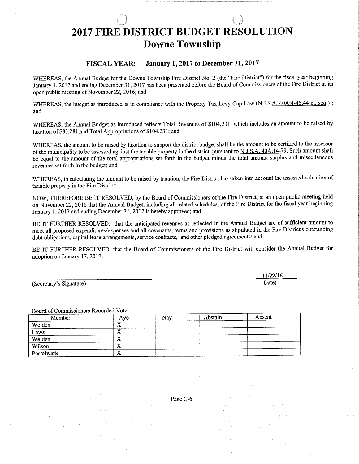## 2017 FIRE DISTRICT BUDGET RESOLUTION Downe Township

,l

#### FISCAL YEAR: January 1, 2017 to December 31, 2017

WHEREAS, the Annual Budget for the Downe Township Fire District No. 2 (the "Fire District") for the fiscal year beginning January 1,2017 and ending December 31,2017 has been presented before the Board of Commissioners of the Fire District at its open public meeting of November 22,2016; and

WHEREAS, the budget as introduced is in compliance with the Property Tax Levy Cap Law (N.J.S.A. 40A:4-45.44 et. seq.); and

WHEREAS, the Annual Budget as introduced reflects Total Revenues of \$104,231, which includes an amount to be raised by taxation of \$83,281,and Total Appropriations of \$104,231; and

WHEREAS, the amount to be raised by taxation to support the district budget shall be the amount to be certified to the assessor of the municipality to be assessed against the taxable property in the district, pursuant to N.J.S.A. 40A:14-79. Such amount shall be equal to the amount of the total appropriations set forth in the budget minus the total amount surplus and miscellaneous revenues set forth in the budget; and

WHEREAS, in calculating the amount to be raised by taxation, the Fire District has taken into account the assessed valuation of taxable property in the Fire District;

NOW, THEREFORE BE IT RESOLVED, by the Board of Commissioners of the Fire District, at an open public meeting held on November 22,2016 that the Annual Budget, including all related schedules, of the Fire District for the fiscal year beginning January 1,2017 and ending December 31,2017 is hereby approved; and

BE IT FURTHER RESOLVED, that the anticipated revenues as reflected in the Annual Budget are of sufficient amount to meet all proposed expenditures/expenses and all covenants, terms and provisions as stipulated in the Fire District's outstanding debt obligations, capital lease arrangements, service contracts, and other pledged agreements; and

BE IT FURTHER RESOLVED, that the Board of Commissioners of the Fire District will consider the Annual Budget for adoption on January 17, 2017.

(Secretary's Signature)

Board of Commissioners Recorded Vote

| Member                | Ave | Nav | Abstain | Absent |
|-----------------------|-----|-----|---------|--------|
| Welden                |     |     |         |        |
|                       |     |     |         |        |
| $\frac{Laws}{Welden}$ | ∡∍  |     |         |        |
| Wilson                |     |     |         |        |
| Postalwaite           | ∡   |     |         |        |

11/22/16 Date)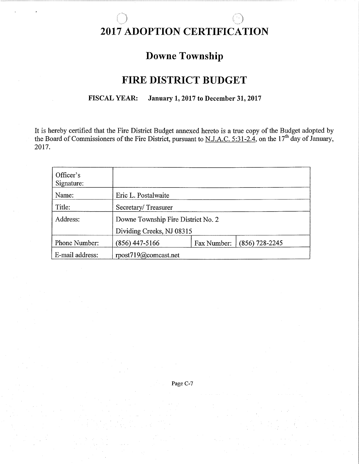#### .! .l 2OT7 ADOPTION CERTIFICATION

## Downe Township

## FIRE DISTRICT BUDGET

#### FISCAL YEAR: January 1, 2017 to December 31, 2017

It is hereby certified that the Fire District Budget annexed hereto is a true copy of the Budget adopted by the Board of Commissioners of the Fire District, pursuant to  $N.J.A.C. 5:31-2.4$ , on the  $17<sup>th</sup>$  day of January, 20t7.

| Officer's<br>Signature: |                                    |             |                  |
|-------------------------|------------------------------------|-------------|------------------|
| Name:                   | Eric L. Postalwaite                |             |                  |
| Title:                  | Secretary/Treasurer                |             |                  |
| Address:                | Downe Township Fire District No. 2 |             |                  |
|                         | Dividing Creeks, NJ 08315          |             |                  |
| Phone Number:           | $(856)$ 447-5166                   | Fax Number: | $(856)$ 728-2245 |
| E-mail address:         | rpost719@comcast.net               |             |                  |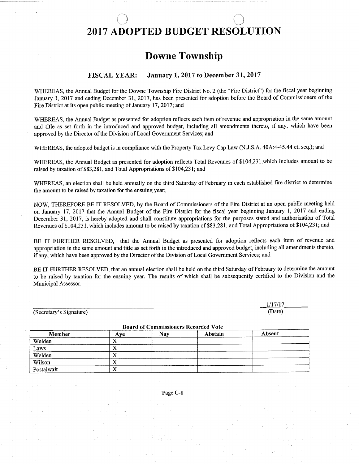#### -J 2OI7 ADOPTED BUDGBT RESOLUTION

## Downe Township

#### FISCAL YEAR: January 1,2017 to December 31,2017

WHEREAS, the Annual Budget for the Downe Township Fire District No. 2 (the "Fire District") for the fiscal year beginning January 1, 2017 and ending December 31, 2017, has been presented for adoption before the Board of Commissioners of the Fire District at its open public meeting of January 17, 2017; and

WHEREAS, the Annual Budget as presented for adoption reflects each item of revenue and appropriation in the same amount and title as set forth in the introduced and approved budget, including all amendments thereto, if any, which have been approved by the Director of the Division of Local Government Services; and

WHEREAS, the adopted budget is in compliance with the Property Tax Levy Cap Law (N.J.S.A. 40A:4-45.44 et. seq.); and

WHEREAS, the Annual Budget as presented for adoption reflects Total Revenues of \$104,23 l,which includes amount to be raised by taxation of \$83,281, and Total Appropriations of \$104,231; and

WHEREAS, an election shall be held annually on the third Saturday of February in each established fire district to determine the amount to be raised by taxation for the ensuing year;

NOW, THEREFORE BE IT RESOLVED, by the Board of Commissioners of the Fire District at an open public meeting held on January 17,2017 that the Annual Budget of the Fire District for the fiscal year beginning January 1,2017 and ending December 31, 2017, is hereby adopted and shall constitute appropriations for the purposes stated and authorization of Total Revenues of \$104,23 l, which includes amount to be raised by taxation of \$83,28 l, and Total Appropriations of \$ 104,231; and

BE IT FURTHER RESOLVED, that the Annual Budget as presented for adoption reflects each item of revenue and appropriation in the same amount and title as set forth in the introduced and approved budget, including all amendments thereto, if any, which have been approved by the Director of the Division of Local Government Services; and

BE IT FURTHER RESOLVED, that an annual election shall be held on the third Saturday of February to determine the amount to be raised by taxation for the ensuing year. The results of which shall be subsequently certified to the Division and the Municipal Assessor.

(Secretary's Signature)

1/17/17 (Date)

| Duald of Commissioners Recorded vote |           |     |         |        |  |
|--------------------------------------|-----------|-----|---------|--------|--|
| Member                               | Ave       | Nav | Abstain | Absent |  |
| Welden                               | ́         |     |         |        |  |
| Laws                                 | $\Lambda$ |     |         |        |  |
| Welden                               | △         |     |         |        |  |
| Wilson                               | ↗         |     |         |        |  |
| Postalwait                           | x,<br>л   |     |         |        |  |

Board of Commissioners Recorded Vote

Page C-8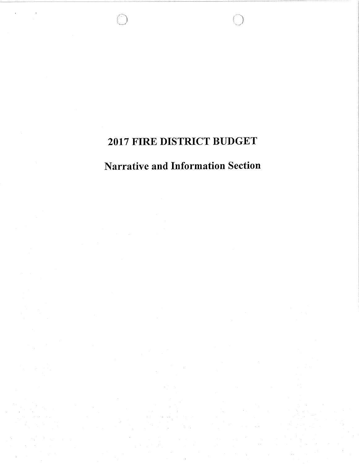## 2017 FIRE DISTRICT BUDGET

## **Narrative and Information Section**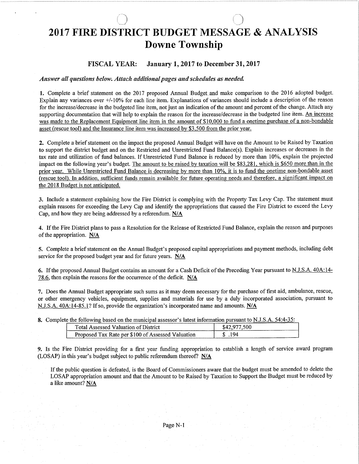## \_j 2017 FIRE DISTRICT BUDGET MESSAGE & ANALYSIS Downe Township

#### FISCAL YEAR: January 1, 2017 to December 31, 2017

#### Answer all questions below. Attach additional pages and schedules as needed.

1. Complete a brief statement on the 2017 proposed Annual Budget and make comparison to the 2016 adopted budget. Explain any variances over +/-10% for each line item. Explanations of variances should include a description of the reason for the increase/decrease in the budgeted line item, not just an indication of the amount and percent of the change. Attach any supporting documentation that will help to explain the reason for the increase/decrease in the budgeted line item. An increase was made to the Replacement Equipment line item in the amount of \$10,000 to fund a onetime purchase of a non-bondable asset (rescue tool) and the Insurance line item was increased by \$3.500 from the prior year.

2. Complete a brief statement on the impact the proposed Annual Budget will have on the Amount to be Raised by Taxation to support the district budget and on the Restricted and Unrestricted Fund Balance(s). Explain increases or decreases in the tax rate and utilization of fund balances. If Unrestricted Fund Balance is reduced by more than 10%, explain the projected impact on the following year's budget. The amount to be raised by taxation will be \$83.281. which is \$650 more than in the prior year. While Unrestricted Fund Balance is decreasing by more than 10%, it is to fund the onetime non-bondable asset (rescue tool). In addition. sufhcient funds remain available for future operating needs and therefore. a significant impact on the 2018 Budget is not anticipated.

3. Include a statement explaining how the Fire District is complying with the Property Tax Levy Cap. The statement must explain reasons for exceeding the Levy Cap and identify the appropriations that caused the Fire District to exceed the Levy Cap, and how they are being addressed by a referendum. N/A

4. If the Fire District plans to pass a Resolution for the Release of Restricted Fund Balance, explain the reason and purposes of the appropriation. N/A

5. Complete a brief statement on the Annual Budget's proposed capital appropriations and payment methods, including debt service for the proposed budget year and for future years. N/A

6. If the proposed Annual Budget contains an amount for a Cash Deficit of the Preceding Year pursuant to N.J.S.A. 40A:14-78.6, then explain the reasons for the occurrence of the deficit.  $N/A$ 

7. Does the Annual Budget appropriate such sums as it may deem necessary for the purchase of first aid, ambulance, rescue, or other emergency vehicles, equipment, supplies and materials for use by a duly incorporated association, pursuant to N.J.S.A.  $40A:14-85.1$ ? If so, provide the organization's incorporated name and amounts. N/A

8. Complete the following based on the municipal assessor's latest information pursuant to N.J.S.A. 54:4-35:

| $\sim$<br>`ota<br>ssessed<br>* Valliation of L.               | )istrict |  |
|---------------------------------------------------------------|----------|--|
| <b>Tax Rate per \$100 of Assessed Valuation</b><br>Proposed i |          |  |

9. Is the Fire District providing for a first year firnding appropriation to establish a length of service award program (LOSAP) in this year's budget subject to public referendum thereof?  $N/A$ 

If the public question is defeated, is the Board of Commissioners aware that the budget must be amended to delete the LOSAP appropriation amount and that the Amount to be Raised by Taxation to Support the Budget must be reduced by a like amount? N/A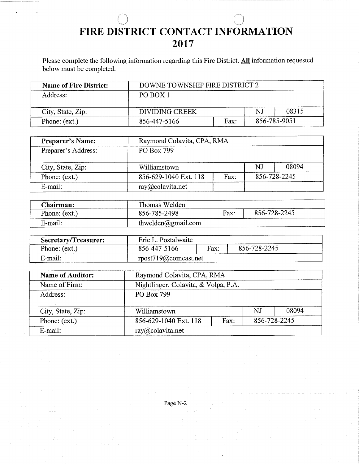## .i FIRE DISTRICT CONTACT INFORMATION 2017

Please complete the following information regarding this Fire District. All information requested below must be completed.

| <b>Name of Fire District:</b> | DOWNE TOWNSHIP FIRE DISTRICT 2 |      |    |              |
|-------------------------------|--------------------------------|------|----|--------------|
| Address:                      | PO BOX 1                       |      |    |              |
| City, State, Zip:             | DIVIDING CREEK                 |      | NJ | 08315        |
| Phone: (ext.)                 | 856-447-5166                   | Fax: |    | 856-785-9051 |

| <b>Preparer's Name:</b> | Raymond Colavita, CPA, RMA    |  |    |              |
|-------------------------|-------------------------------|--|----|--------------|
| Preparer's Address:     | PO Box 799                    |  |    |              |
| City, State, Zip:       | Williamstown                  |  | NJ | 08094        |
| Phone: (ext.)           | 856-629-1040 Ext. 118<br>Fax: |  |    | 856-728-2245 |
| E-mail:                 | ray@colavita.net              |  |    |              |

| Chairman:     | Thomas Welden      |             |              |  |
|---------------|--------------------|-------------|--------------|--|
| Phone: (ext.) | 856-785-2498       | <b>Fax:</b> | 856-728-2245 |  |
| E-mail:       | thwelden@gmail.com |             |              |  |

| Secretary/Treasurer: | Eric L. Postalwaite  |      |              |
|----------------------|----------------------|------|--------------|
| Phone: (ext.)        | 856-447-5166         | Fax: | 856-728-2245 |
| E-mail:              | rpost719@comcast.net |      |              |

| <b>Name of Auditor:</b> | Raymond Colavita, CPA, RMA                    |              |  |  |  |  |  |  |
|-------------------------|-----------------------------------------------|--------------|--|--|--|--|--|--|
| Name of Firm:           | Nightlinger, Colavita, & Volpa, P.A.          |              |  |  |  |  |  |  |
| Address:                | PO Box 799                                    |              |  |  |  |  |  |  |
|                         |                                               |              |  |  |  |  |  |  |
| City, State, Zip:       | Williamstown                                  | 08094<br>N.I |  |  |  |  |  |  |
| Phone: (ext.)           | 856-728-2245<br>856-629-1040 Ext. 118<br>Fax: |              |  |  |  |  |  |  |
| E-mail:                 | $ray(a)$ colavita.net                         |              |  |  |  |  |  |  |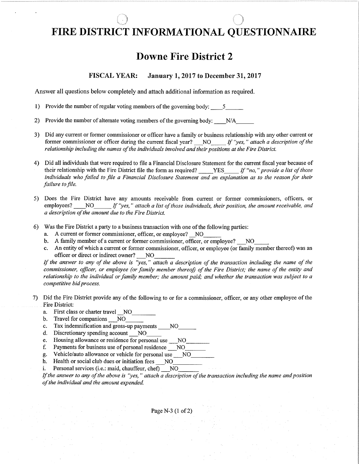#### $\bigcirc$  $\bigcap$ FIRE DISTRICT INFORMATIONAL QUESTIONNAIRE

## Downe Fire District 2

#### FISCAL YEAR: January 1, 2017 to December 31, 2017

Answer all questions below completely and attach additional information as required.

1) Provide the number of regular voting members of the governing body:  $5 - 5$ 

2) Provide the number of alternate voting members of the governing body: \_\_\_\_N/A\_

- 3) Did any current or former commissioner or officer have a family or business relationship with any other current or former commissioner or officer during the current fiscal year?  $NQ$  If "yes," attach a description of the reløtionship including the names of the individuals involved and their positions at the Fire District.
- 4) Did all individuals that were required to file a Financial Disclosure Statement for the current frscal year because of their relationship with the Fire District file the form as required? \_\_\_\_ YES\_\_\_\_\_ If "no," provide a list of those individuals who failed to file a Financial Disclosure Statement and an explanation as to the reason for their failure to file.
- 5) Does the Fire District have any amounts receivable from current or former commissioners, officers, or employees? \_\_\_NO\_\_\_\_\_ If "yes," attach a list of those individuals, their position, the amount receivable, and a description of the ømount due to the Fire District.
- 6) Was the Fire District aparty to a business transaction with one of the following parties:
	-
	- a. A current or former commissioner, officer, or employee? \_NO b. A family member of a current or former commissioner, officer, or employee? \_ NO
	- c. An entity of which a current or former commissioner, officer, or employee (or family member thereof) was an officer or direct or indirect owner? NO

If the answer to any of the above is "yes," attach a description of the transaction including the name of the commissioner, officer, or employee (or family member thereof) of the Fire District; the name of the entity and relationship to the individual or family member; the amount paid; ønd whether the transaction was subject to a competitive bid process.

- 7) Did the Fire District provide any of the following to or for a commissioner, officer, or any other employee of the Fire District:
	- a. First class or charter travel NO<br>b. Travel for companions NO
	- b. Travel for companions NO\_<br>c. Tax indemnification and gross-
	- c. Tax indemnification and gross-up payments \_NO\_ d. Discretionary spending account NO\_
	-
	-
	- e. Housing allowance or residence for personal use \_\_NO<br>f. Payments for business use of personal residence \_\_NO\_<br>g. Vehicle/auto allowance or vehicle for personal use N
	- g. Vehicle/auto allowance or vehicle for personal use \_NO\_ h. Health or social club dues or initiation fees \_NO\_ i. Personal services (i.e.: maid, chauffeur, chef) \_NO\_
	-
	-

If the answer to any of the above is "yes," attach a description of the transaction including the name and position of the individuql and the amount expended.

Page N-3 (1 of 2)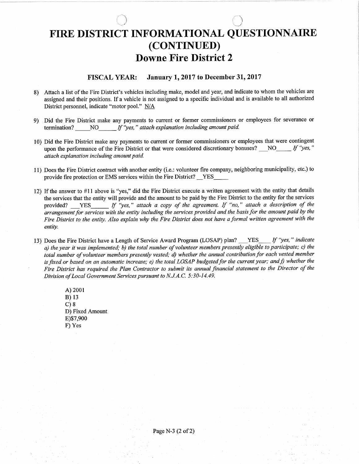## FIRE DISTRICT INFORMATIONAL QUESTIONNAIRE (coNTTNUED) Downe Fire District 2

1

#### FISCAL YEAR: January 1, 2017 to December 31, 2017

- 8) Attach a list of the Fire District's vehicles including make, model and year, and indicate to whom the vehicles are assigned and their positions. If a vehicle is not assigned to a specifrc individual and is available to all authorized District personnel, indicate "motor pool." N/A
- e) Did the Fire District make any payments to current or former commissioners or employees for severance or termination? NO If "yes," attach explanation including amount paid.
- l0) Did the Fire District make any payments to current or former commissioners or employees that were contingent upon the performance of the Fire District or that were considered discretionary bonuses?  $\Box$  NO $\Box$  If "yes," øttach explanation including amount pøid.
- 11) Does the Fire District contract with another entity (i.e.: volunteer fire company, neighboring municipality, etc.) to provide fire protection or EMS services within the Fire District? \_\_YES -YES-
- 12) If the answer to #11 above is "yes," did the Fire District execute a written agreement with the entity that details the services that the entity will provide and the amount to be paid by the Fire District to the entity for the services provided? YES If "yes," attach a copy of the agreement. If "no," attach a description of the ørrangement for services with the entity including the services provided and the basis for the amount patd by the Fire District to the entity. Also explain why the Fire District does not have a formal written agreement with the entity.
- If "yes," indicate l3) Does the Fire District have a Lengfh of Service Award Program (LOSAP) plan? **YES** a) the year it was implemented; b) the total number of volunteer members presently eligible to participate; c) the<br>also the year it was implemented; b) the total number of volunteer members presently eligible to part was a total number of volunteer members presently vested; d) whether the ønnual contribution for each vested member is fixed or based on an automatic increase; e) the total LOSAP budgeted for the current year; and f) whether the Fire District høs required the Plan Contractor to submit its annual financial statement to the Director of the Division of Local Government Services pursuønt to N.J.A.C. 5:30-14.49.
	- A) 2001 B) <sup>13</sup>  $C$ )  $8$ D) Fixed Amount E)\$7,900 F) Yes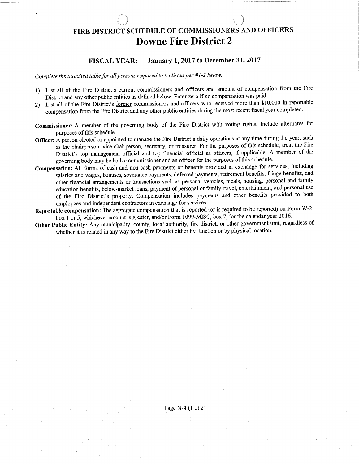## FIRE DISTRICT SCHEDULE OF COMMISSIONERS AND OFFICERS Downe Fire District 2

#### FISCAL YEAR: January 1,2017 to December 31,2017

Complete the attached table for all persons required to be listed per #1-2 below.

- l) List all of the Fire District's current commissioners and officers and amount of compensation from the Fire District and any other public entities as dehned below. Enter zero if no compensation was paid.
- 2) List all of the Fire District's former commissioners and officers who received more than \$10,000 in reportable compensation from the Fire District and any other public entities during the most recent fiscal year completed.
- Commissioner: A member of the governing body of the Fire District with voting rights. tnclude alternates for purposes of this schedule.
- Officer: A person elected or appointed to manage the Fire District's daily operations at any time during the year, such as the chairperson, vice-chairperson, secretary, or treasurer. For the purposes of this schedule, treat the Fire District's top management official and top financial official as officers, if applicable. A member of the governing body may be both a commissioner and an officer for the purposes of this schedule.
- Compensation: All forms of cash and non-cash payments or benefits provided in exchange for services, including salaries and wages, bonuses, severance payments, deferred payments, retirement benefits, fringe benefits, and other financial arrangements or transactions such as personal vehicles, meals, housing, personal and family education benefits, below-market loans, payment of personal or family travel, entertainment, and personal use of the Fire District's property. Compensation includes payments and other benefrts provided to both employees and independent contractors in exchange for services.
- Reportable compensation: The aggregate compensation that is reported (or is required to be reported) on Form W-2, box 1 or 5, whichever amount is greater, and/or Form 1099-MISC, box 7, for the calendar year 2016.
- Other Public Entity: Any municipality, county, local authority, fire district, or other government unit, regardless of whether it is related in any way to the Fire District either by function or by physical location.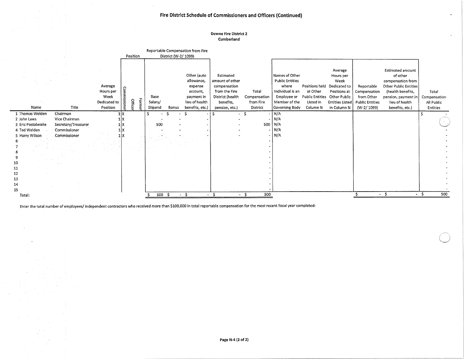#### Fire District Schedule of Commissioners and Officers (Continued)

ä

#### **Downe Fire District 2** Cumberland

|                                    |                                     |                                                          | Position                   |                            | District (W-2/1099) | Reportable Compensation from Fire                                                                   |                                                                                                                  |                                                |                                                                                                                         |                                                     |                                                                                                                                       |                                                                                  |                                                                                                                                                                           |                                                 |
|------------------------------------|-------------------------------------|----------------------------------------------------------|----------------------------|----------------------------|---------------------|-----------------------------------------------------------------------------------------------------|------------------------------------------------------------------------------------------------------------------|------------------------------------------------|-------------------------------------------------------------------------------------------------------------------------|-----------------------------------------------------|---------------------------------------------------------------------------------------------------------------------------------------|----------------------------------------------------------------------------------|---------------------------------------------------------------------------------------------------------------------------------------------------------------------------|-------------------------------------------------|
| Name                               | Title                               | Average<br>Hours per<br>Week<br>Dedicated to<br>Position | Forme<br>Office<br>ă,<br>常 | Base<br>Salary/<br>Stipend | Bonus               | Other (auto<br>allowance,<br>expense<br>account,<br>payment in<br>lieu of health<br>benefits, etc.) | Estimated<br>amount of other<br>compensation<br>from the Fire<br>District (health<br>benefits.<br>pension, etc.) | Total<br>Compensation<br>from Fire<br>District | Names of Other<br><b>Public Entities</b><br>where<br>Individual is an<br>Employee or<br>Member of the<br>Governing Body | Positions held<br>at Other<br>Listed in<br>Column N | Average<br>Hours per<br>Week<br>Dedicated to<br>Positions at<br>Public Entities Other Public<br><b>Entities Listed</b><br>in Column N | Reportable<br>Compensation<br>from Other<br><b>Public Entities</b><br>(W-2/1099) | <b>Estimated amount</b><br>of other<br>compensation from<br><b>Other Public Entities</b><br>(health benefits,<br>pension, payment in<br>lieu of health<br>benefits, etc.) | Total<br>Compensation<br>All Public<br>Entities |
| 1 Thomas Welden<br>2 John Laws     | Chairman<br>Vice Chairman           | ιlχ                                                      |                            |                            |                     | S                                                                                                   |                                                                                                                  | $\cdot$                                        | $-$ N/A<br>N/A                                                                                                          |                                                     |                                                                                                                                       |                                                                                  |                                                                                                                                                                           |                                                 |
| 3 Eric Postalwaite<br>4 Ted Welden | Secretary/Treasurer<br>Commissioner | ιıχ                                                      |                            | 500                        |                     |                                                                                                     |                                                                                                                  | 500                                            | N/A<br>$-$   N/A                                                                                                        |                                                     |                                                                                                                                       |                                                                                  |                                                                                                                                                                           |                                                 |
| 5 Harry Wilson                     | Commissioner                        |                                                          |                            |                            |                     |                                                                                                     |                                                                                                                  | $\sim$                                         | N/A                                                                                                                     |                                                     |                                                                                                                                       |                                                                                  |                                                                                                                                                                           |                                                 |
|                                    |                                     |                                                          |                            |                            |                     |                                                                                                     |                                                                                                                  |                                                |                                                                                                                         |                                                     |                                                                                                                                       |                                                                                  |                                                                                                                                                                           |                                                 |
| 10                                 |                                     |                                                          |                            |                            |                     |                                                                                                     |                                                                                                                  |                                                |                                                                                                                         |                                                     |                                                                                                                                       |                                                                                  |                                                                                                                                                                           |                                                 |
| 11<br>12                           |                                     |                                                          |                            |                            |                     |                                                                                                     |                                                                                                                  |                                                |                                                                                                                         |                                                     |                                                                                                                                       |                                                                                  |                                                                                                                                                                           |                                                 |
| 13                                 |                                     |                                                          |                            |                            |                     |                                                                                                     |                                                                                                                  |                                                |                                                                                                                         |                                                     |                                                                                                                                       |                                                                                  |                                                                                                                                                                           |                                                 |
| 14<br>15                           |                                     |                                                          |                            |                            |                     |                                                                                                     |                                                                                                                  |                                                |                                                                                                                         |                                                     |                                                                                                                                       |                                                                                  |                                                                                                                                                                           |                                                 |
| Total:                             |                                     |                                                          |                            | 500 S                      |                     | - \$                                                                                                | - \$                                                                                                             | 500<br>- \$                                    |                                                                                                                         |                                                     |                                                                                                                                       | $\sim$                                                                           | -Ś<br>$\bullet$                                                                                                                                                           | 500<br>- \$                                     |

Enter the total number of employees/ independent contractors who received more than \$100,000 in total reportable compensation for the most recent fiscal year completed: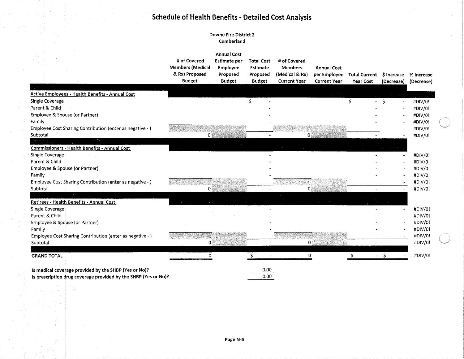## **Schedule of Health Benefits - Detailed Cost Analysis**

#### **Downe Fire District 2** Cumberland

|                                                                 | # of Covered<br><b>Members (Medical</b><br>& Rx) Proposed<br><b>Budget</b> | <b>Annual Cost</b><br><b>Estimate per</b><br>Employee<br>Proposed<br><b>Budget</b> | <b>Total Cost</b><br><b>Estimate</b><br>Proposed<br><b>Budget</b> | # of Covered<br><b>Members</b><br>(Medical & Rx)<br><b>Current Year</b> | <b>Annual Cost</b><br>per Employee<br><b>Current Year</b> | <b>Total Current</b><br><b>Year Cost</b> | \$ Increase<br>(Decrease)     | % Increase<br>(Decrease) |
|-----------------------------------------------------------------|----------------------------------------------------------------------------|------------------------------------------------------------------------------------|-------------------------------------------------------------------|-------------------------------------------------------------------------|-----------------------------------------------------------|------------------------------------------|-------------------------------|--------------------------|
|                                                                 |                                                                            |                                                                                    |                                                                   |                                                                         |                                                           |                                          |                               |                          |
| <b>Active Employees - Health Benefits - Annual Cost</b>         |                                                                            |                                                                                    |                                                                   |                                                                         |                                                           |                                          |                               |                          |
| Single Coverage                                                 |                                                                            |                                                                                    | Ś                                                                 |                                                                         |                                                           | Ś                                        | - \$<br>$\tilde{\phantom{a}}$ | #DIV/0!                  |
| Parent & Child                                                  |                                                                            |                                                                                    |                                                                   |                                                                         |                                                           |                                          |                               | #DIV/0!                  |
| Employee & Spouse (or Partner)                                  |                                                                            |                                                                                    |                                                                   |                                                                         |                                                           |                                          |                               | #DIV/0!                  |
| Family                                                          |                                                                            |                                                                                    |                                                                   |                                                                         |                                                           |                                          |                               | #DIV/0!                  |
| Employee Cost Sharing Contribution (enter as negative - )       |                                                                            |                                                                                    |                                                                   |                                                                         |                                                           |                                          |                               | #DIV/0!                  |
| Subtotal                                                        | 0                                                                          |                                                                                    |                                                                   | 0                                                                       |                                                           |                                          |                               | #DIV/0!                  |
|                                                                 |                                                                            |                                                                                    |                                                                   |                                                                         |                                                           |                                          |                               |                          |
| <b>Commissioners - Health Benefits - Annual Cost</b>            |                                                                            |                                                                                    |                                                                   |                                                                         |                                                           |                                          |                               |                          |
| Single Coverage                                                 |                                                                            |                                                                                    |                                                                   |                                                                         |                                                           |                                          |                               | #DIV/0!                  |
| Parent & Child                                                  |                                                                            |                                                                                    |                                                                   |                                                                         |                                                           |                                          |                               | #DIV/0!                  |
| Employee & Spouse (or Partner)                                  |                                                                            |                                                                                    |                                                                   |                                                                         |                                                           |                                          |                               | #DIV/0!                  |
| Family                                                          |                                                                            |                                                                                    |                                                                   |                                                                         |                                                           |                                          |                               | #DIV/0!                  |
| Employee Cost Sharing Contribution (enter as negative - )       |                                                                            |                                                                                    |                                                                   |                                                                         |                                                           |                                          |                               | #DIV/0!                  |
| Subtotal                                                        | 0                                                                          |                                                                                    |                                                                   | 0                                                                       |                                                           | $\blacksquare$                           |                               | #DIV/0!                  |
|                                                                 |                                                                            |                                                                                    |                                                                   |                                                                         |                                                           |                                          |                               |                          |
| Retirees - Health Benefits - Annual Cost                        |                                                                            |                                                                                    |                                                                   |                                                                         |                                                           |                                          |                               |                          |
| Single Coverage                                                 |                                                                            |                                                                                    |                                                                   |                                                                         |                                                           |                                          |                               | #DIV/0!                  |
| Parent & Child                                                  |                                                                            |                                                                                    |                                                                   |                                                                         |                                                           |                                          |                               | #DIV/0!                  |
| Employee & Spouse (or Partner)                                  |                                                                            |                                                                                    |                                                                   |                                                                         |                                                           |                                          |                               | #DIV/0!                  |
| Family                                                          |                                                                            |                                                                                    |                                                                   |                                                                         |                                                           |                                          |                               | #DIV/0!                  |
| Employee Cost Sharing Contribution (enter as negative - )       |                                                                            |                                                                                    |                                                                   |                                                                         |                                                           |                                          |                               | #DIV/0!                  |
| Subtotal                                                        | 0                                                                          |                                                                                    |                                                                   | 0                                                                       |                                                           |                                          |                               | #DIV/0!                  |
| <b>GRAND TOTAL</b>                                              | 0                                                                          |                                                                                    |                                                                   | 0                                                                       |                                                           |                                          | $-5$                          | #DIV/0!                  |
| Is medical coverage provided by the SHBP (Yes or No)?           |                                                                            |                                                                                    | 0.00                                                              |                                                                         |                                                           |                                          |                               |                          |
| Is prescription drug coverage provided by the SHBP (Yes or No)? |                                                                            |                                                                                    | 0.00                                                              |                                                                         |                                                           |                                          |                               |                          |

 $\sim$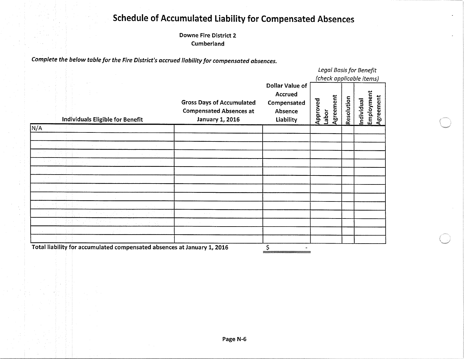## **Schedule of Accumulated Liability for Compensated Absences**

**Downe Fire District 2** Cumberland

Complete the below table for the Fire District's accrued liability for compensated absences.

|                                                                         |                                                                                              |                                                                          | Legal Basis for Benefit<br>(check applicable items) |           |            |                                       |  |
|-------------------------------------------------------------------------|----------------------------------------------------------------------------------------------|--------------------------------------------------------------------------|-----------------------------------------------------|-----------|------------|---------------------------------------|--|
| Individuals Eligible for Benefit                                        | <b>Gross Days of Accumulated</b><br><b>Compensated Absences at</b><br><b>January 1, 2016</b> | Dollar Value of<br><b>Accrued</b><br>Compensated<br>Absence<br>Liability | Approved<br>Labor                                   | Agreement | Resolution | Individual<br>Employment<br>Agreement |  |
| N/A                                                                     |                                                                                              |                                                                          |                                                     |           |            |                                       |  |
|                                                                         |                                                                                              |                                                                          |                                                     |           |            |                                       |  |
|                                                                         |                                                                                              |                                                                          |                                                     |           |            |                                       |  |
|                                                                         |                                                                                              |                                                                          |                                                     |           |            |                                       |  |
|                                                                         |                                                                                              |                                                                          |                                                     |           |            |                                       |  |
|                                                                         |                                                                                              |                                                                          |                                                     |           |            |                                       |  |
|                                                                         |                                                                                              |                                                                          |                                                     |           |            |                                       |  |
|                                                                         |                                                                                              |                                                                          |                                                     |           |            |                                       |  |
|                                                                         |                                                                                              |                                                                          |                                                     |           |            |                                       |  |
|                                                                         |                                                                                              |                                                                          |                                                     |           |            |                                       |  |
|                                                                         |                                                                                              |                                                                          |                                                     |           |            |                                       |  |
|                                                                         |                                                                                              |                                                                          |                                                     |           |            |                                       |  |
|                                                                         |                                                                                              |                                                                          |                                                     |           |            |                                       |  |
|                                                                         |                                                                                              |                                                                          |                                                     |           |            |                                       |  |
| Total liability for accumulated compensated absences at January 1, 2016 |                                                                                              | \$                                                                       |                                                     |           |            |                                       |  |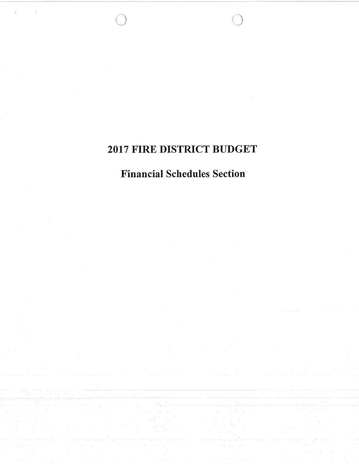## 2017 FIRE DISTRICT BUDGET

## **Financial Schedules Section**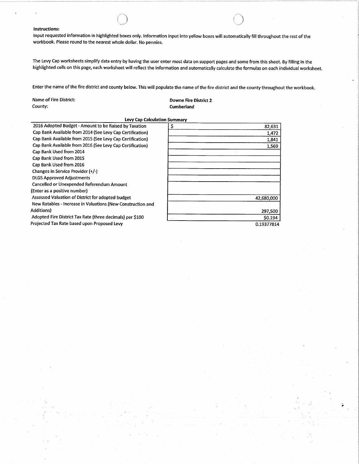#### Instructions:

lnput requested information in highlighted boxes only. lnformation input into yellow boxes will automatically fill throughout the rest of the workbook. Please round to the nearest whole dollar. No pennies.

The Levy Cap worksheets simplify data entry by having the user enter most data on support pages and some from this sheet. By filling in the highlighted cells on this page, each worksheet will reflect the information and automatically calculate the formulas on each individual worksheet.

 $\left(\begin{array}{c}\right.\end{array}\right)$ 

Enter the name of the fire district and county below. This will populate the name of the fire district and the county throughout the workbook.

Name of Fire District:<br>
County:<br>
County:<br>
County:<br>
County:

Cumberland

Levy Cap Calculation Summary

| \$<br>82,631 |
|--------------|
| 1,472        |
| 1,841        |
| 1,569        |
|              |
|              |
|              |
|              |
|              |
|              |
|              |
| 42,680,000   |
|              |
| 297,500      |
| \$0.194      |
| 0.19377814   |
|              |